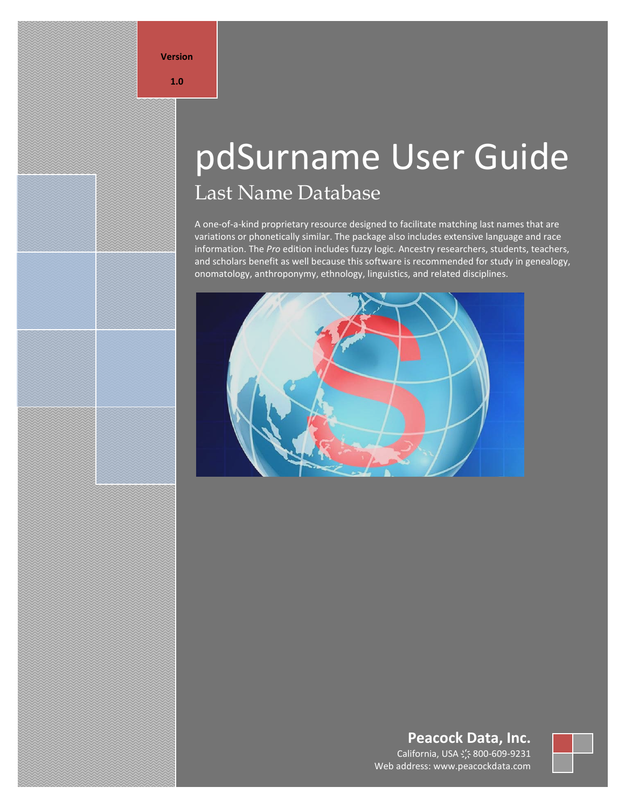**Version**

#### **1.0**

# pdSurname User Guide Last Name Database

A one-of-a-kind proprietary resource designed to facilitate matching last names that are variations or phonetically similar. The package also includes extensive language and race information. The *Pro* edition includes fuzzy logic. Ancestry researchers, students, teachers, and scholars benefit as well because this software is recommended for study in genealogy, onomatology, anthroponymy, ethnology, linguistics, and related disciplines.



# **Peacock Data, Inc.**

California, USA **҉** 800-609-9231 Web address: www.peacockdata.com

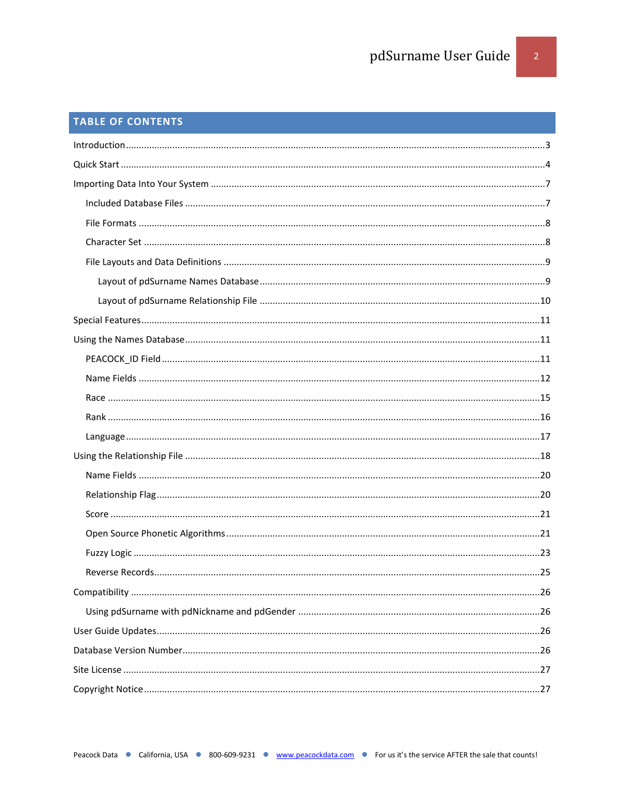# TABLE OF CONTENTS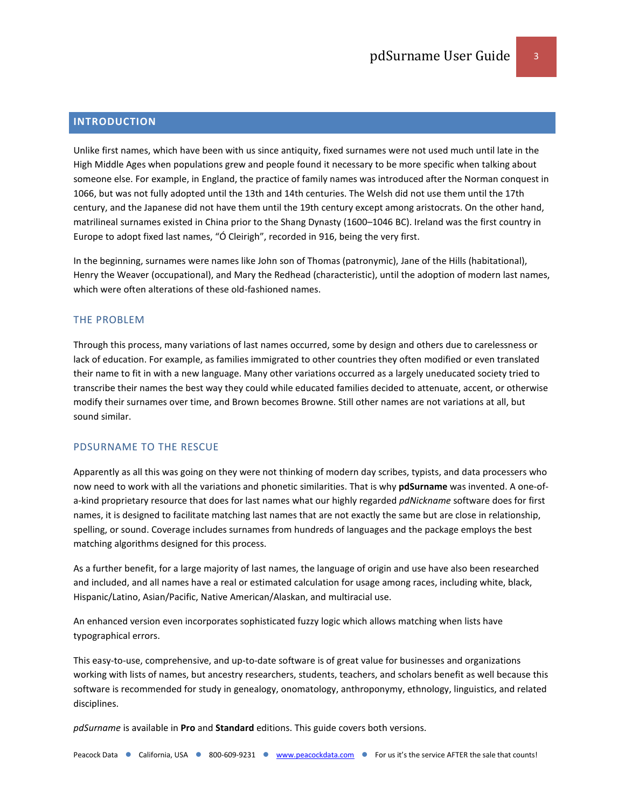# <span id="page-2-0"></span>**INTRODUCTION**

Unlike first names, which have been with us since antiquity, fixed surnames were not used much until late in the High Middle Ages when populations grew and people found it necessary to be more specific when talking about someone else. For example, in England, the practice of family names was introduced after the Norman conquest in 1066, but was not fully adopted until the 13th and 14th centuries. The Welsh did not use them until the 17th century, and the Japanese did not have them until the 19th century except among aristocrats. On the other hand, matrilineal surnames existed in China prior to the Shang Dynasty (1600–1046 BC). Ireland was the first country in Europe to adopt fixed last names, "Ó Cleirigh", recorded in 916, being the very first.

In the beginning, surnames were names like John son of Thomas (patronymic), Jane of the Hills (habitational), Henry the Weaver (occupational), and Mary the Redhead (characteristic), until the adoption of modern last names, which were often alterations of these old-fashioned names.

#### THE PROBLEM

Through this process, many variations of last names occurred, some by design and others due to carelessness or lack of education. For example, as families immigrated to other countries they often modified or even translated their name to fit in with a new language. Many other variations occurred as a largely uneducated society tried to transcribe their names the best way they could while educated families decided to attenuate, accent, or otherwise modify their surnames over time, and Brown becomes Browne. Still other names are not variations at all, but sound similar.

#### PDSURNAME TO THE RESCUE

Apparently as all this was going on they were not thinking of modern day scribes, typists, and data processers who now need to work with all the variations and phonetic similarities. That is why **pdSurname** was invented. A one-ofa-kind proprietary resource that does for last names what our highly regarded *pdNickname* software does for first names, it is designed to facilitate matching last names that are not exactly the same but are close in relationship, spelling, or sound. Coverage includes surnames from hundreds of languages and the package employs the best matching algorithms designed for this process.

As a further benefit, for a large majority of last names, the language of origin and use have also been researched and included, and all names have a real or estimated calculation for usage among races, including white, black, Hispanic/Latino, Asian/Pacific, Native American/Alaskan, and multiracial use.

An enhanced version even incorporates sophisticated fuzzy logic which allows matching when lists have typographical errors.

This easy-to-use, comprehensive, and up-to-date software is of great value for businesses and organizations working with lists of names, but ancestry researchers, students, teachers, and scholars benefit as well because this software is recommended for study in genealogy, onomatology, anthroponymy, ethnology, linguistics, and related disciplines.

*pdSurname* is available in **Pro** and **Standard** editions. This guide covers both versions.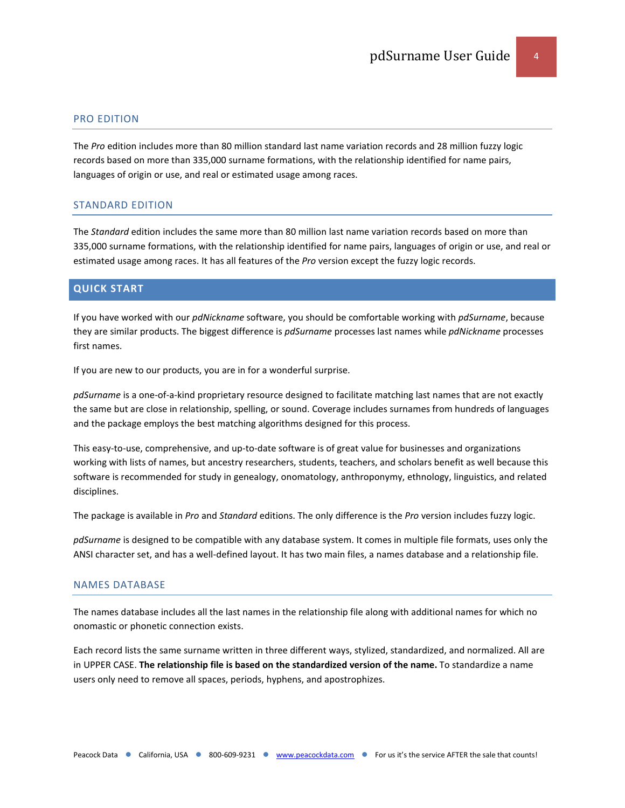#### PRO EDITION

The *Pro* edition includes more than 80 million standard last name variation records and 28 million fuzzy logic records based on more than 335,000 surname formations, with the relationship identified for name pairs, languages of origin or use, and real or estimated usage among races.

#### STANDARD EDITION

The *Standard* edition includes the same more than 80 million last name variation records based on more than 335,000 surname formations, with the relationship identified for name pairs, languages of origin or use, and real or estimated usage among races. It has all features of the *Pro* version except the fuzzy logic records.

#### <span id="page-3-0"></span>**QUICK START**

If you have worked with our *pdNickname* software, you should be comfortable working with *pdSurname*, because they are similar products. The biggest difference is *pdSurname* processes last names while *pdNickname* processes first names.

If you are new to our products, you are in for a wonderful surprise.

*pdSurname* is a one-of-a-kind proprietary resource designed to facilitate matching last names that are not exactly the same but are close in relationship, spelling, or sound. Coverage includes surnames from hundreds of languages and the package employs the best matching algorithms designed for this process.

This easy-to-use, comprehensive, and up-to-date software is of great value for businesses and organizations working with lists of names, but ancestry researchers, students, teachers, and scholars benefit as well because this software is recommended for study in genealogy, onomatology, anthroponymy, ethnology, linguistics, and related disciplines.

The package is available in *Pro* and *Standard* editions. The only difference is the *Pro* version includes fuzzy logic.

*pdSurname* is designed to be compatible with any database system. It comes in multiple file formats, uses only the ANSI character set, and has a well-defined layout. It has two main files, a names database and a relationship file.

#### NAMES DATABASE

The names database includes all the last names in the relationship file along with additional names for which no onomastic or phonetic connection exists.

Each record lists the same surname written in three different ways, stylized, standardized, and normalized. All are in UPPER CASE. **The relationship file is based on the standardized version of the name.** To standardize a name users only need to remove all spaces, periods, hyphens, and apostrophizes.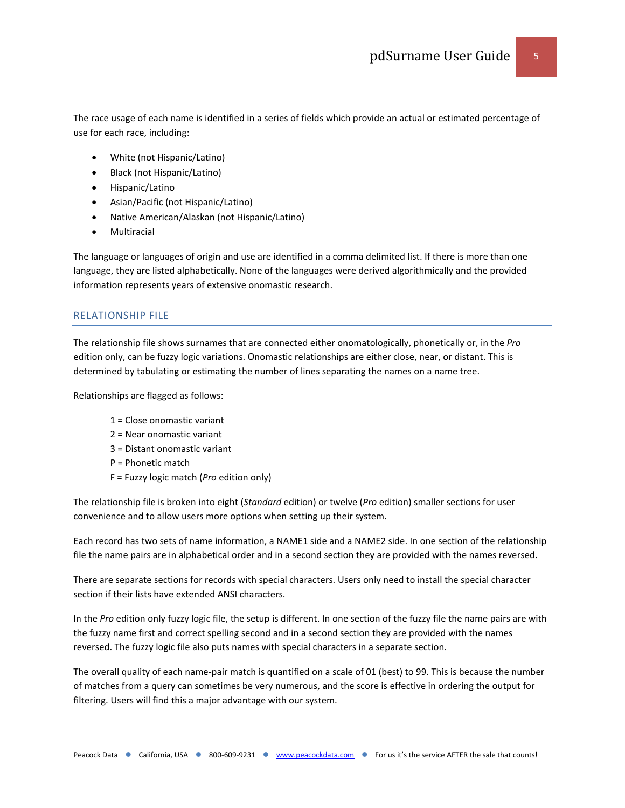The race usage of each name is identified in a series of fields which provide an actual or estimated percentage of use for each race, including:

- White (not Hispanic/Latino)
- Black (not Hispanic/Latino)
- Hispanic/Latino
- Asian/Pacific (not Hispanic/Latino)
- Native American/Alaskan (not Hispanic/Latino)
- Multiracial

The language or languages of origin and use are identified in a comma delimited list. If there is more than one language, they are listed alphabetically. None of the languages were derived algorithmically and the provided information represents years of extensive onomastic research.

#### RELATIONSHIP FILE

The relationship file shows surnames that are connected either onomatologically, phonetically or, in the *Pro* edition only, can be fuzzy logic variations. Onomastic relationships are either close, near, or distant. This is determined by tabulating or estimating the number of lines separating the names on a name tree.

Relationships are flagged as follows:

- 1 = Close onomastic variant
- 2 = Near onomastic variant
- 3 = Distant onomastic variant
- P = Phonetic match
- F = Fuzzy logic match (*Pro* edition only)

The relationship file is broken into eight (*Standard* edition) or twelve (*Pro* edition) smaller sections for user convenience and to allow users more options when setting up their system.

Each record has two sets of name information, a NAME1 side and a NAME2 side. In one section of the relationship file the name pairs are in alphabetical order and in a second section they are provided with the names reversed.

There are separate sections for records with special characters. Users only need to install the special character section if their lists have extended ANSI characters.

In the *Pro* edition only fuzzy logic file, the setup is different. In one section of the fuzzy file the name pairs are with the fuzzy name first and correct spelling second and in a second section they are provided with the names reversed. The fuzzy logic file also puts names with special characters in a separate section.

The overall quality of each name-pair match is quantified on a scale of 01 (best) to 99. This is because the number of matches from a query can sometimes be very numerous, and the score is effective in ordering the output for filtering. Users will find this a major advantage with our system.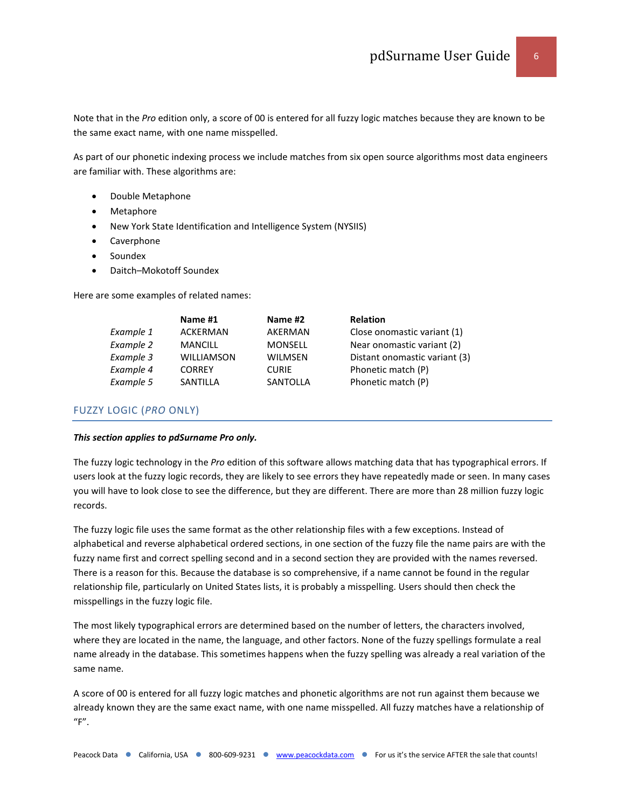Note that in the *Pro* edition only, a score of 00 is entered for all fuzzy logic matches because they are known to be the same exact name, with one name misspelled.

As part of our phonetic indexing process we include matches from six open source algorithms most data engineers are familiar with. These algorithms are:

- Double Metaphone
- Metaphore
- New York State Identification and Intelligence System (NYSIIS)
- Caverphone
- Soundex
- Daitch–Mokotoff Soundex

Here are some examples of related names:

|           | Name #1           | Name #2        | <b>Relation</b>               |
|-----------|-------------------|----------------|-------------------------------|
| Example 1 | <b>ACKERMAN</b>   | AKERMAN        | Close onomastic variant (1)   |
| Example 2 | <b>MANCILL</b>    | <b>MONSELL</b> | Near onomastic variant (2)    |
| Example 3 | <b>WILLIAMSON</b> | <b>WILMSEN</b> | Distant onomastic variant (3) |
| Example 4 | <b>CORREY</b>     | <b>CURIE</b>   | Phonetic match (P)            |
| Example 5 | SANTILLA          | SANTOLLA       | Phonetic match (P)            |

# FUZZY LOGIC (*PRO* ONLY)

#### *This section applies to pdSurname Pro only.*

The fuzzy logic technology in the *Pro* edition of this software allows matching data that has typographical errors. If users look at the fuzzy logic records, they are likely to see errors they have repeatedly made or seen. In many cases you will have to look close to see the difference, but they are different. There are more than 28 million fuzzy logic records.

The fuzzy logic file uses the same format as the other relationship files with a few exceptions. Instead of alphabetical and reverse alphabetical ordered sections, in one section of the fuzzy file the name pairs are with the fuzzy name first and correct spelling second and in a second section they are provided with the names reversed. There is a reason for this. Because the database is so comprehensive, if a name cannot be found in the regular relationship file, particularly on United States lists, it is probably a misspelling. Users should then check the misspellings in the fuzzy logic file.

The most likely typographical errors are determined based on the number of letters, the characters involved, where they are located in the name, the language, and other factors. None of the fuzzy spellings formulate a real name already in the database. This sometimes happens when the fuzzy spelling was already a real variation of the same name.

A score of 00 is entered for all fuzzy logic matches and phonetic algorithms are not run against them because we already known they are the same exact name, with one name misspelled. All fuzzy matches have a relationship of  $"F"$ .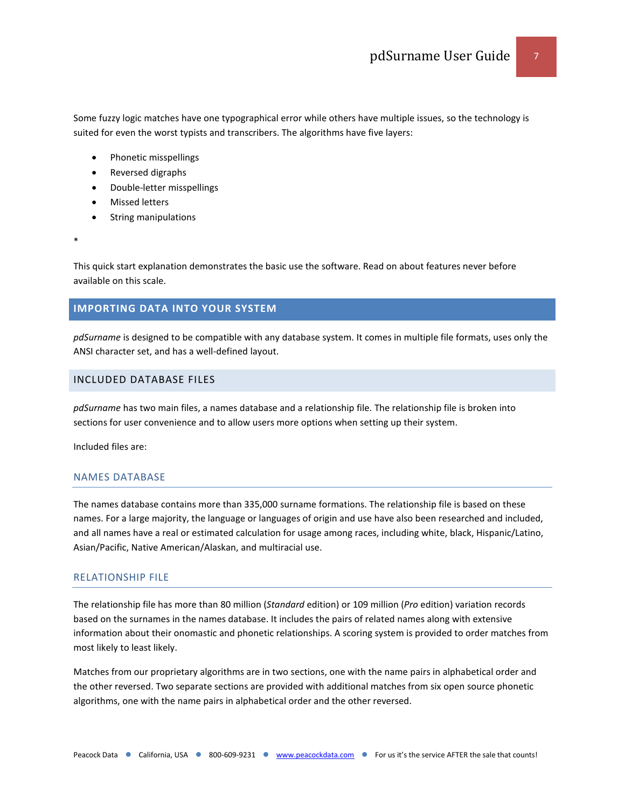Some fuzzy logic matches have one typographical error while others have multiple issues, so the technology is suited for even the worst typists and transcribers. The algorithms have five layers:

- Phonetic misspellings
- Reversed digraphs
- Double-letter misspellings
- Missed letters
- String manipulations
- \*

This quick start explanation demonstrates the basic use the software. Read on about features never before available on this scale.

# <span id="page-6-0"></span>**IMPORTING DATA INTO YOUR SYSTEM**

*pdSurname* is designed to be compatible with any database system. It comes in multiple file formats, uses only the ANSI character set, and has a well-defined layout.

# <span id="page-6-1"></span>INCLUDED DATABASE FILES

*pdSurname* has two main files, a names database and a relationship file. The relationship file is broken into sections for user convenience and to allow users more options when setting up their system.

Included files are:

# NAMES DATABASE

The names database contains more than 335,000 surname formations. The relationship file is based on these names. For a large majority, the language or languages of origin and use have also been researched and included, and all names have a real or estimated calculation for usage among races, including white, black, Hispanic/Latino, Asian/Pacific, Native American/Alaskan, and multiracial use.

#### RELATIONSHIP FILE

The relationship file has more than 80 million (*Standard* edition) or 109 million (*Pro* edition) variation records based on the surnames in the names database. It includes the pairs of related names along with extensive information about their onomastic and phonetic relationships. A scoring system is provided to order matches from most likely to least likely.

Matches from our proprietary algorithms are in two sections, one with the name pairs in alphabetical order and the other reversed. Two separate sections are provided with additional matches from six open source phonetic algorithms, one with the name pairs in alphabetical order and the other reversed.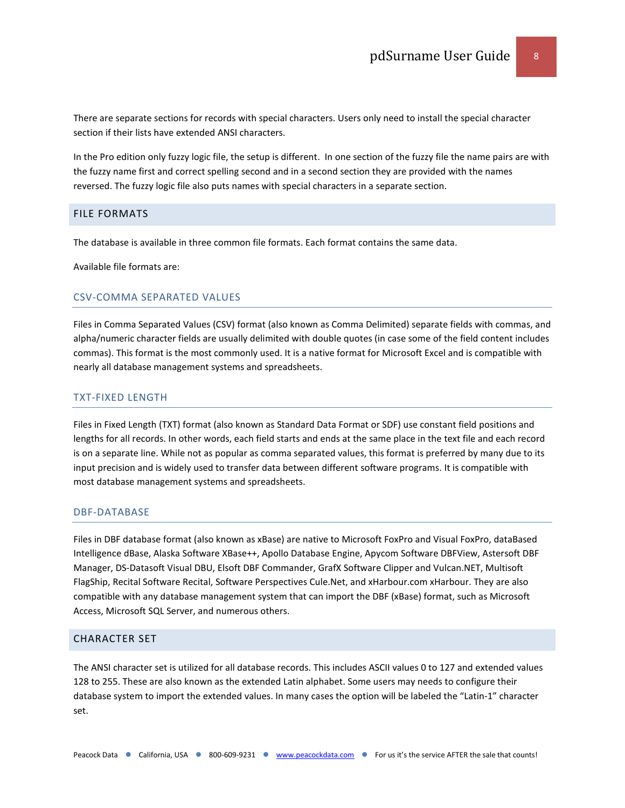There are separate sections for records with special characters. Users only need to install the special character section if their lists have extended ANSI characters.

In the Pro edition only fuzzy logic file, the setup is different. In one section of the fuzzy file the name pairs are with the fuzzy name first and correct spelling second and in a second section they are provided with the names reversed. The fuzzy logic file also puts names with special characters in a separate section.

#### <span id="page-7-0"></span>FILE FORMATS

The database is available in three common file formats. Each format contains the same data.

Available file formats are:

# CSV-COMMA SEPARATED VALUES

Files in Comma Separated Values (CSV) format (also known as Comma Delimited) separate fields with commas, and alpha/numeric character fields are usually delimited with double quotes (in case some of the field content includes commas). This format is the most commonly used. It is a native format for Microsoft Excel and is compatible with nearly all database management systems and spreadsheets.

# TXT-FIXED LENGTH

Files in Fixed Length (TXT) format (also known as Standard Data Format or SDF) use constant field positions and lengths for all records. In other words, each field starts and ends at the same place in the text file and each record is on a separate line. While not as popular as comma separated values, this format is preferred by many due to its input precision and is widely used to transfer data between different software programs. It is compatible with most database management systems and spreadsheets.

#### DBF-DATABASE

Files in DBF database format (also known as xBase) are native to Microsoft FoxPro and Visual FoxPro, dataBased Intelligence dBase, Alaska Software XBase++, Apollo Database Engine, Apycom Software DBFView, Astersoft DBF Manager, DS-Datasoft Visual DBU, Elsoft DBF Commander, GrafX Software Clipper and Vulcan.NET, Multisoft FlagShip, Recital Software Recital, Software Perspectives Cule.Net, and xHarbour.com xHarbour. They are also compatible with any database management system that can import the DBF (xBase) format, such as Microsoft Access, Microsoft SQL Server, and numerous others.

# <span id="page-7-1"></span>CHARACTER SET

The ANSI character set is utilized for all database records. This includes ASCII values 0 to 127 and extended values 128 to 255. These are also known as the extended Latin alphabet. Some users may needs to configure their database system to import the extended values. In many cases the option will be labeled the "Latin-1" character set.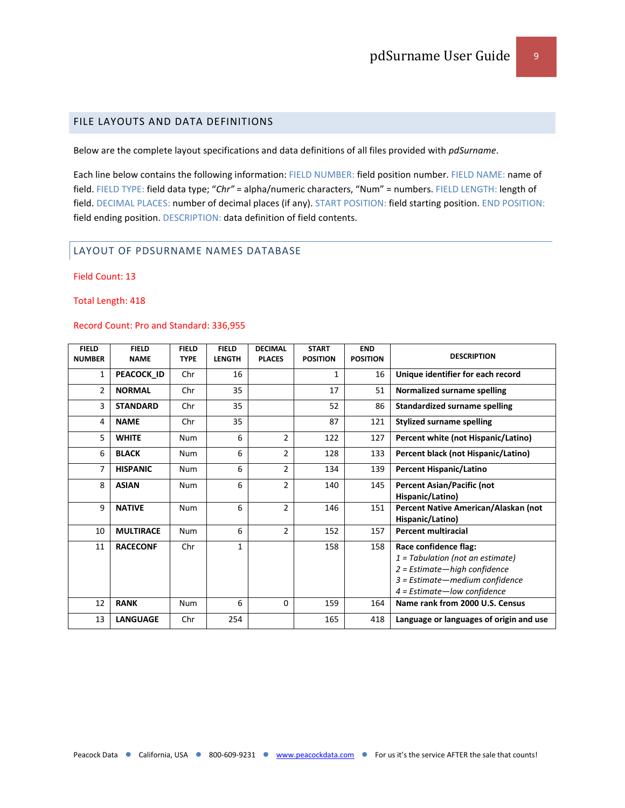# <span id="page-8-0"></span>FILE LAYOUTS AND DATA DEFINITIONS

Below are the complete layout specifications and data definitions of all files provided with *pdSurname*.

Each line below contains the following information: FIELD NUMBER: field position number. FIELD NAME: name of field. FIELD TYPE: field data type; "*Chr"* = alpha/numeric characters, "Num" = numbers. FIELD LENGTH: length of field. DECIMAL PLACES: number of decimal places (if any). START POSITION: field starting position. END POSITION: field ending position. DESCRIPTION: data definition of field contents.

#### <span id="page-8-1"></span>LAYOUT OF PDSURNAME NAMES DATABASE

Field Count: 13

Total Length: 418

#### Record Count: Pro and Standard: 336,955

| <b>FIELD</b><br><b>NUMBER</b> | <b>FIELD</b><br><b>NAME</b> | <b>FIELD</b><br><b>TYPE</b> | <b>FIELD</b><br><b>LENGTH</b> | <b>DECIMAL</b><br><b>PLACES</b> | <b>START</b><br><b>POSITION</b> | <b>END</b><br><b>POSITION</b> | <b>DESCRIPTION</b>                                                                                                                                                   |
|-------------------------------|-----------------------------|-----------------------------|-------------------------------|---------------------------------|---------------------------------|-------------------------------|----------------------------------------------------------------------------------------------------------------------------------------------------------------------|
| 1                             | PEACOCK ID                  | Chr                         | 16                            |                                 | 1                               | 16                            | Unique identifier for each record                                                                                                                                    |
| $\overline{2}$                | <b>NORMAL</b>               | Chr                         | 35                            |                                 | 17                              | 51                            | Normalized surname spelling                                                                                                                                          |
| 3                             | <b>STANDARD</b>             | Chr                         | 35                            |                                 | 52                              | 86                            | <b>Standardized surname spelling</b>                                                                                                                                 |
| 4                             | <b>NAME</b>                 | Chr                         | 35                            |                                 | 87                              | 121                           | <b>Stylized surname spelling</b>                                                                                                                                     |
| 5                             | <b>WHITE</b>                | <b>Num</b>                  | 6                             | $\overline{2}$                  | 122                             | 127                           | Percent white (not Hispanic/Latino)                                                                                                                                  |
| 6                             | <b>BLACK</b>                | <b>Num</b>                  | 6                             | $\overline{2}$                  | 128                             | 133                           | Percent black (not Hispanic/Latino)                                                                                                                                  |
| 7                             | <b>HISPANIC</b>             | <b>Num</b>                  | 6                             | $\overline{2}$                  | 134                             | 139                           | <b>Percent Hispanic/Latino</b>                                                                                                                                       |
| 8                             | <b>ASIAN</b>                | <b>Num</b>                  | 6                             | $\overline{2}$                  | 140                             | 145                           | <b>Percent Asian/Pacific (not</b><br>Hispanic/Latino)                                                                                                                |
| 9                             | <b>NATIVE</b>               | Num                         | 6                             | $\overline{2}$                  | 146                             | 151                           | Percent Native American/Alaskan (not<br>Hispanic/Latino)                                                                                                             |
| 10                            | <b>MULTIRACE</b>            | <b>Num</b>                  | 6                             | $\overline{2}$                  | 152                             | 157                           | <b>Percent multiracial</b>                                                                                                                                           |
| 11                            | <b>RACECONF</b>             | Chr                         | $\mathbf{1}$                  |                                 | 158                             | 158                           | Race confidence flag:<br>$1 =$ Tabulation (not an estimate)<br>$2 = Estimate - high confidence$<br>3 = Estimate-medium confidence<br>$4 = Estimate - low confidence$ |
| 12                            | <b>RANK</b>                 | <b>Num</b>                  | 6                             | $\Omega$                        | 159                             | 164                           | Name rank from 2000 U.S. Census                                                                                                                                      |
| 13                            | <b>LANGUAGE</b>             | Chr                         | 254                           |                                 | 165                             | 418                           | Language or languages of origin and use                                                                                                                              |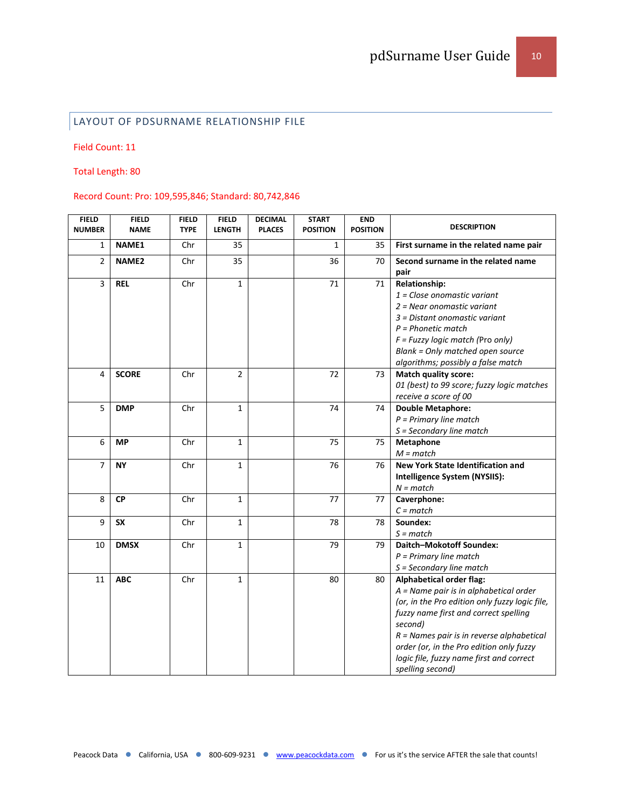# <span id="page-9-0"></span>LAYOUT OF PDSURNAME RELATIONSHIP FILE

Field Count: 11

Total Length: 80

# Record Count: Pro: 109,595,846; Standard: 80,742,846

| <b>FIELD</b><br><b>NUMBER</b> | <b>FIELD</b><br><b>NAME</b> | <b>FIELD</b><br><b>TYPE</b> | <b>FIELD</b><br><b>LENGTH</b> | <b>DECIMAL</b><br><b>PLACES</b> | <b>START</b><br><b>POSITION</b> | <b>END</b><br><b>POSITION</b> | <b>DESCRIPTION</b>                                                                                                                                                                                                                                                                                                                         |
|-------------------------------|-----------------------------|-----------------------------|-------------------------------|---------------------------------|---------------------------------|-------------------------------|--------------------------------------------------------------------------------------------------------------------------------------------------------------------------------------------------------------------------------------------------------------------------------------------------------------------------------------------|
| $\mathbf{1}$                  | NAME1                       | Chr                         | 35                            |                                 | $\mathbf{1}$                    | 35                            | First surname in the related name pair                                                                                                                                                                                                                                                                                                     |
| $\overline{2}$                | NAME <sub>2</sub>           | Chr                         | 35                            |                                 | 36                              | 70                            | Second surname in the related name<br>pair                                                                                                                                                                                                                                                                                                 |
| $\overline{3}$                | <b>REL</b>                  | Chr                         | 1                             |                                 | 71                              | 71                            | Relationship:<br>$1 = Close$ onomastic variant<br>$2$ = Near onomastic variant<br>3 = Distant onomastic variant<br>$P = Phonetic match$<br>$F = Fuzzy logic match (Pro only)$<br>Blank = Only matched open source<br>algorithms; possibly a false match                                                                                    |
| 4                             | <b>SCORE</b>                | Chr                         | 2                             |                                 | 72                              | 73                            | <b>Match quality score:</b><br>01 (best) to 99 score; fuzzy logic matches<br>receive a score of 00                                                                                                                                                                                                                                         |
| 5                             | <b>DMP</b>                  | Chr                         | $\mathbf 1$                   |                                 | 74                              | 74                            | <b>Double Metaphore:</b><br>$P = Primary$ line match<br>$S =$ Secondary line match                                                                                                                                                                                                                                                         |
| 6                             | <b>MP</b>                   | Chr                         | $\mathbf 1$                   |                                 | 75                              | 75                            | Metaphone<br>$M = match$                                                                                                                                                                                                                                                                                                                   |
| $\overline{7}$                | <b>NY</b>                   | Chr                         | $\mathbf 1$                   |                                 | 76                              | 76                            | <b>New York State Identification and</b><br>Intelligence System (NYSIIS):<br>$N = match$                                                                                                                                                                                                                                                   |
| 8                             | CP                          | Chr                         | $\mathbf 1$                   |                                 | 77                              | 77                            | Caverphone:<br>$C = match$                                                                                                                                                                                                                                                                                                                 |
| 9                             | <b>SX</b>                   | Chr                         | $\mathbf 1$                   |                                 | 78                              | 78                            | Soundex:<br>$S = match$                                                                                                                                                                                                                                                                                                                    |
| 10                            | <b>DMSX</b>                 | Chr                         | $\mathbf 1$                   |                                 | 79                              | 79                            | Daitch-Mokotoff Soundex:<br>$P = Primary$ line match<br>$S =$ Secondary line match                                                                                                                                                                                                                                                         |
| 11                            | <b>ABC</b>                  | Chr                         | $\mathbf{1}$                  |                                 | 80                              | 80                            | <b>Alphabetical order flag:</b><br>A = Name pair is in alphabetical order<br>(or, in the Pro edition only fuzzy logic file,<br>fuzzy name first and correct spelling<br>second)<br>$R$ = Names pair is in reverse alphabetical<br>order (or, in the Pro edition only fuzzy<br>logic file, fuzzy name first and correct<br>spelling second) |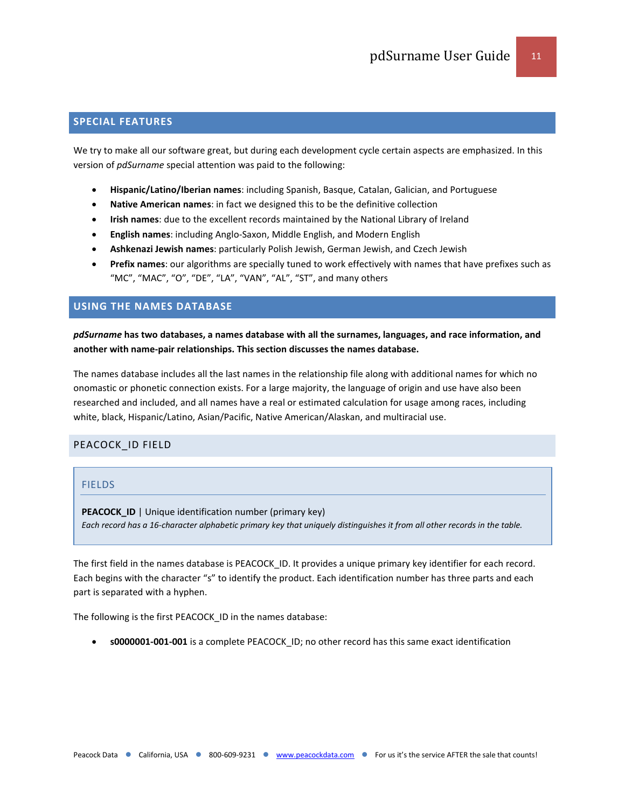# <span id="page-10-0"></span>**SPECIAL FEATURES**

We try to make all our software great, but during each development cycle certain aspects are emphasized. In this version of *pdSurname* special attention was paid to the following:

- **Hispanic/Latino/Iberian names**: including Spanish, Basque, Catalan, Galician, and Portuguese
- **Native American names**: in fact we designed this to be the definitive collection
- **Irish names**: due to the excellent records maintained by the National Library of Ireland
- **English names**: including Anglo-Saxon, Middle English, and Modern English
- **Ashkenazi Jewish names**: particularly Polish Jewish, German Jewish, and Czech Jewish
- **Prefix names**: our algorithms are specially tuned to work effectively with names that have prefixes such as "MC", "MAC", "O", "DE", "LA", "VAN", "AL", "ST", and many others

#### <span id="page-10-1"></span>**USING THE NAMES DATABASE**

*pdSurname* **has two databases, a names database with all the surnames, languages, and race information, and another with name-pair relationships. This section discusses the names database.**

The names database includes all the last names in the relationship file along with additional names for which no onomastic or phonetic connection exists. For a large majority, the language of origin and use have also been researched and included, and all names have a real or estimated calculation for usage among races, including white, black, Hispanic/Latino, Asian/Pacific, Native American/Alaskan, and multiracial use.

#### <span id="page-10-2"></span>PEACOCK\_ID FIELD

#### FIELDS

**PEACOCK ID** | Unique identification number (primary key) *Each record has a 16-character alphabetic primary key that uniquely distinguishes it from all other records in the table.*

The first field in the names database is PEACOCK\_ID. It provides a unique primary key identifier for each record. Each begins with the character "s" to identify the product. Each identification number has three parts and each part is separated with a hyphen.

The following is the first PEACOCK\_ID in the names database:

• **s0000001-001-001** is a complete PEACOCK\_ID; no other record has this same exact identification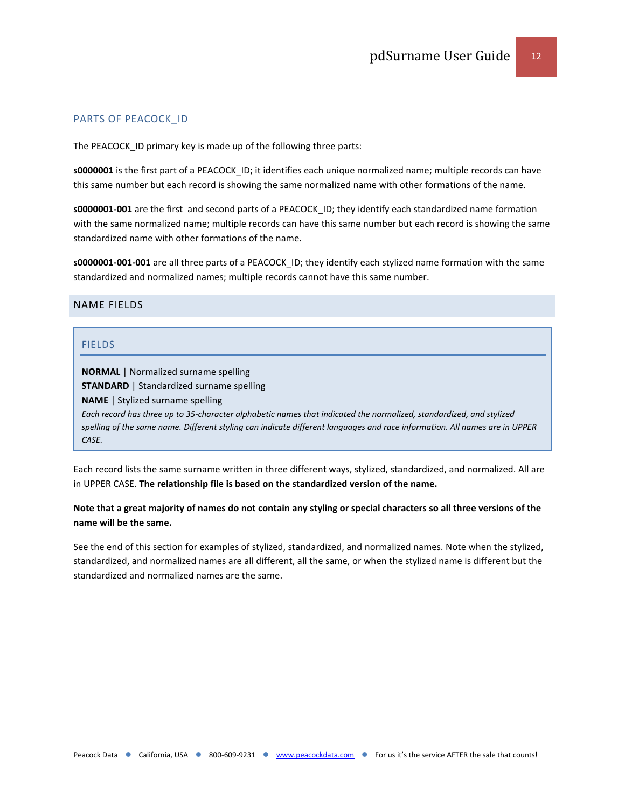#### PARTS OF PEACOCK\_ID

The PEACOCK\_ID primary key is made up of the following three parts:

**s0000001** is the first part of a PEACOCK\_ID; it identifies each unique normalized name; multiple records can have this same number but each record is showing the same normalized name with other formations of the name.

**s0000001-001** are the first and second parts of a PEACOCK\_ID; they identify each standardized name formation with the same normalized name; multiple records can have this same number but each record is showing the same standardized name with other formations of the name.

**s0000001-001-001** are all three parts of a PEACOCK\_ID; they identify each stylized name formation with the same standardized and normalized names; multiple records cannot have this same number.

#### <span id="page-11-0"></span>NAME FIELDS

#### FIELDS

**NORMAL** | Normalized surname spelling

**STANDARD** | Standardized surname spelling

**NAME** | Stylized surname spelling

*Each record has three up to 35-character alphabetic names that indicated the normalized, standardized, and stylized spelling of the same name. Different styling can indicate different languages and race information. All names are in UPPER CASE.*

Each record lists the same surname written in three different ways, stylized, standardized, and normalized. All are in UPPER CASE. **The relationship file is based on the standardized version of the name.**

# **Note that a great majority of names do not contain any styling or special characters so all three versions of the name will be the same.**

See the end of this section for examples of stylized, standardized, and normalized names. Note when the stylized, standardized, and normalized names are all different, all the same, or when the stylized name is different but the standardized and normalized names are the same.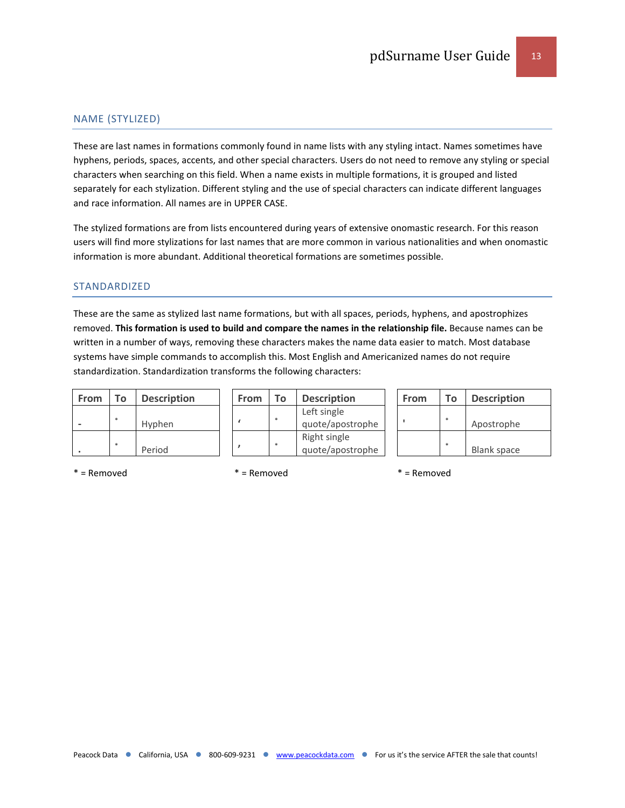# NAME (STYLIZED)

These are last names in formations commonly found in name lists with any styling intact. Names sometimes have hyphens, periods, spaces, accents, and other special characters. Users do not need to remove any styling or special characters when searching on this field. When a name exists in multiple formations, it is grouped and listed separately for each stylization. Different styling and the use of special characters can indicate different languages and race information. All names are in UPPER CASE.

The stylized formations are from lists encountered during years of extensive onomastic research. For this reason users will find more stylizations for last names that are more common in various nationalities and when onomastic information is more abundant. Additional theoretical formations are sometimes possible.

# STANDARDIZED

These are the same as stylized last name formations, but with all spaces, periods, hyphens, and apostrophizes removed. **This formation is used to build and compare the names in the relationship file.** Because names can be written in a number of ways, removing these characters makes the name data easier to match. Most database systems have simple commands to accomplish this. Most English and Americanized names do not require standardization. Standardization transforms the following characters:

| <b>From</b> | <b>Description</b> | From | <b>To</b> | <b>Description</b>               | <b>From</b> | Tο | <b>Description</b> |
|-------------|--------------------|------|-----------|----------------------------------|-------------|----|--------------------|
|             | Hyphen             |      |           | Left single<br>quote/apostrophe  |             |    | Apostrophe         |
|             | Period             |      |           | Right single<br>quote/apostrophe |             |    | Blank space        |

 $*$  = Removed  $*$  = Removed  $*$  = Removed  $*$  = Removed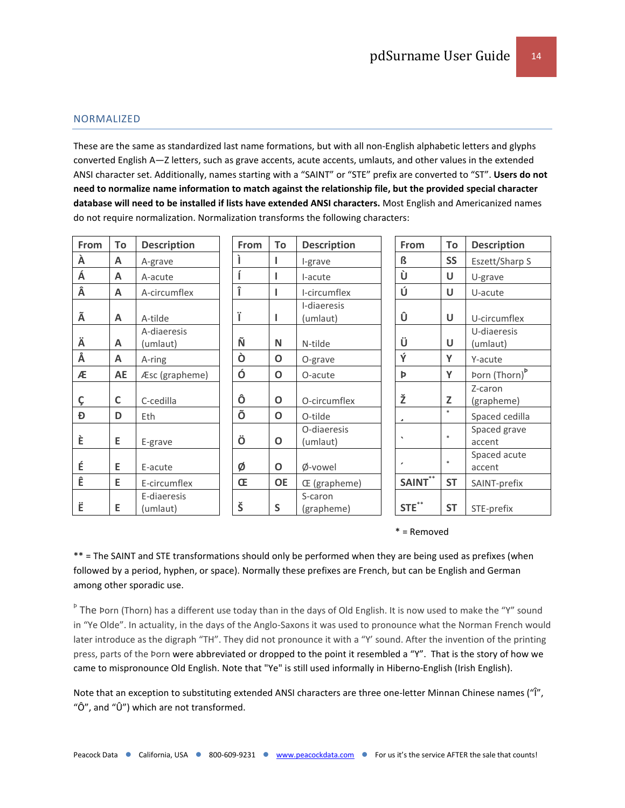# NORMALIZED

These are the same as standardized last name formations, but with all non-English alphabetic letters and glyphs converted English A—Z letters, such as grave accents, acute accents, umlauts, and other values in the extended ANSI character set. Additionally, names starting with a "SAINT" or "STE" prefix are converted to "ST". **Users do not need to normalize name information to match against the relationship file, but the provided special character database will need to be installed if lists have extended ANSI characters.** Most English and Americanized names do not require normalization. Normalization transforms the following characters:

| From | To        | <b>Description</b>      | From | To           | <b>Description</b>      | From    | To        | <b>Description</b>        |
|------|-----------|-------------------------|------|--------------|-------------------------|---------|-----------|---------------------------|
| À    | A         | A-grave                 |      |              | I-grave                 | ß       | <b>SS</b> | Eszett/Sharp S            |
| Á    | A         | A-acute                 |      |              | I-acute                 | Ù       | U         | U-grave                   |
| Â    | A         | A-circumflex            | Î    |              | I-circumflex            | Ú       | $\cup$    | U-acute                   |
| Ã    | A         | A-tilde                 | ï    |              | I-diaeresis<br>(umlaut) | Û       | U         | U-circumflex              |
| Ä    | A         | A-diaeresis<br>(umlaut) | Ñ    | $\mathsf{N}$ | N-tilde                 | Ü       | $\cup$    | U-diaeresis<br>(umlaut)   |
| Å    | A         | A-ring                  | Ò    | O            | O-grave                 | Ý       | Y         | Y-acute                   |
| Æ    | <b>AE</b> | Æsc (grapheme)          | Ó    | O            | O-acute                 | Þ       | Y         | Þorn (Thorn) <sup>b</sup> |
| Ç    | C         | C-cedilla               | Ô    | $\mathbf O$  | O-circumflex            | Ž       | Z         | Z-caron<br>(grapheme)     |
| Đ    | D         | Eth                     | Õ    | O            | O-tilde                 |         | $\ast$    | Spaced cedilla            |
| È    | E         | E-grave                 | Ö    | O            | O-diaeresis<br>(umlaut) | $\cdot$ | $\ast$    | Spaced grave<br>accent    |
| É    | E         | E-acute                 | Ø    | O            | Ø-vowel                 | ,       | $\ast$    | Spaced acute<br>accent    |
| Ê    | E         | E-circumflex            | Œ    | <b>OE</b>    | Œ (grapheme)            | SAINT** | <b>ST</b> | SAINT-prefix              |
| Ë    | Е         | E-diaeresis<br>(umlaut) | Š    | S            | S-caron<br>(grapheme)   | STE**   | <b>ST</b> | STE-prefix                |

#### \* = Removed

\*\* = The SAINT and STE transformations should only be performed when they are being used as prefixes (when followed by a period, hyphen, or space). Normally these prefixes are French, but can be English and German among other sporadic use.

<sup>b</sup> The Þorn (Thorn) has a different use today than in the days of Old English. It is now used to make the "Y" sound in "Ye Olde". In actuality, in the days of the Anglo-Saxons it was used to pronounce what the Norman French would later introduce as the digraph "TH". They did not pronounce it with a "Y' sound. After the invention of the printing press, parts of the Þorn were abbreviated or dropped to the point it resembled a "Y". That is the story of how we came to mispronounce Old English. Note that "Ye" is still used informally in Hiberno-English (Irish English).

Note that an exception to substituting extended ANSI characters are three one-letter Minnan Chinese names ("Î", "Ô", and "Û") which are not transformed.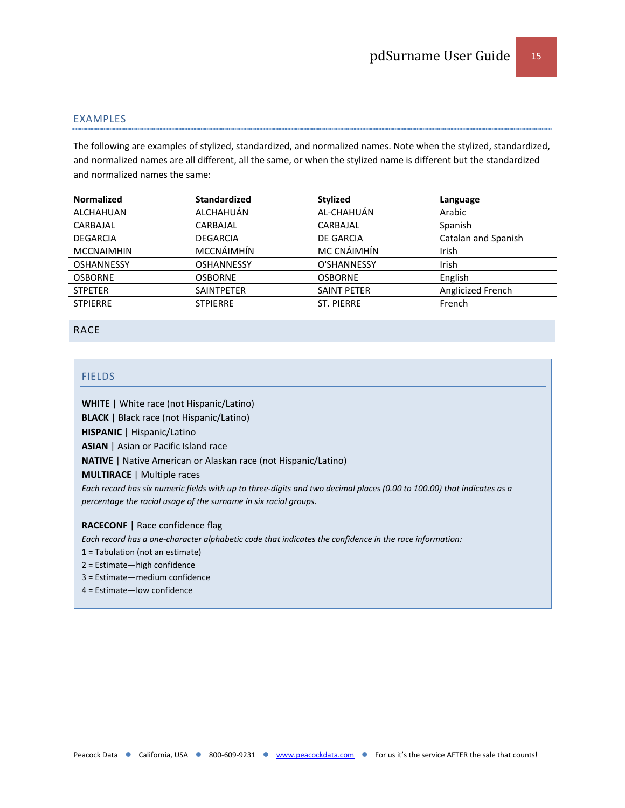#### EXAMPLES

The following are examples of stylized, standardized, and normalized names. Note when the stylized, standardized, and normalized names are all different, all the same, or when the stylized name is different but the standardized and normalized names the same:

| <b>Normalized</b> | <b>Standardized</b> | <b>Stylized</b>    | Language            |
|-------------------|---------------------|--------------------|---------------------|
| ALCHAHUAN         | ALCHAHUÁN           | AL-CHAHUÁN         | Arabic              |
| CARBAJAL          | CARBAJAL            | CARBAJAL           | Spanish             |
| <b>DEGARCIA</b>   | <b>DEGARCIA</b>     | <b>DE GARCIA</b>   | Catalan and Spanish |
| <b>MCCNAIMHIN</b> | MCCNÁIMHÍN          | MC CNÁIMHÍN        | Irish               |
| <b>OSHANNESSY</b> | <b>OSHANNESSY</b>   | O'SHANNESSY        | Irish               |
| <b>OSBORNE</b>    | <b>OSBORNE</b>      | <b>OSBORNE</b>     | English             |
| <b>STPETER</b>    | <b>SAINTPETER</b>   | <b>SAINT PETER</b> | Anglicized French   |
| <b>STPIERRE</b>   | <b>STPIERRE</b>     | <b>ST. PIERRE</b>  | French              |
|                   |                     |                    |                     |

# <span id="page-14-0"></span>RACE

#### FIELDS

**WHITE** | White race (not Hispanic/Latino) **BLACK** | Black race (not Hispanic/Latino) **HISPANIC** | Hispanic/Latino **ASIAN** | Asian or Pacific Island race **NATIVE** | Native American or Alaskan race (not Hispanic/Latino) **MULTIRACE** | Multiple races *Each record has six numeric fields with up to three-digits and two decimal places (0.00 to 100.00) that indicates as a percentage the racial usage of the surname in six racial groups.*

**RACECONF** | Race confidence flag

*Each record has a one-character alphabetic code that indicates the confidence in the race information:* 

1 = Tabulation (not an estimate)

2 = Estimate—high confidence

3 = Estimate—medium confidence

4 = Estimate—low confidence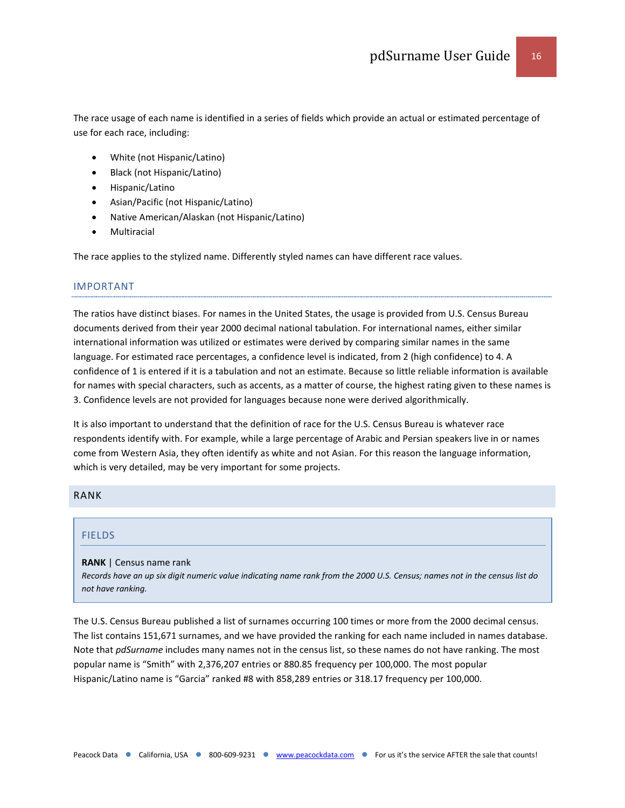The race usage of each name is identified in a series of fields which provide an actual or estimated percentage of use for each race, including:

- White (not Hispanic/Latino)
- Black (not Hispanic/Latino)
- Hispanic/Latino
- Asian/Pacific (not Hispanic/Latino)
- Native American/Alaskan (not Hispanic/Latino)
- **Multiracial**

The race applies to the stylized name. Differently styled names can have different race values.

#### IMPORTANT

The ratios have distinct biases. For names in the United States, the usage is provided from U.S. Census Bureau documents derived from their year 2000 decimal national tabulation. For international names, either similar international information was utilized or estimates were derived by comparing similar names in the same language. For estimated race percentages, a confidence level is indicated, from 2 (high confidence) to 4. A confidence of 1 is entered if it is a tabulation and not an estimate. Because so little reliable information is available for names with special characters, such as accents, as a matter of course, the highest rating given to these names is 3. Confidence levels are not provided for languages because none were derived algorithmically.

It is also important to understand that the definition of race for the U.S. Census Bureau is whatever race respondents identify with. For example, while a large percentage of Arabic and Persian speakers live in or names come from Western Asia, they often identify as white and not Asian. For this reason the language information, which is very detailed, may be very important for some projects.

#### <span id="page-15-0"></span>RANK

#### FIELDS

#### **RANK** | Census name rank

*Records have an up six digit numeric value indicating name rank from the 2000 U.S. Census; names not in the census list do not have ranking.*

The U.S. Census Bureau published a list of surnames occurring 100 times or more from the 2000 decimal census. The list contains 151,671 surnames, and we have provided the ranking for each name included in names database. Note that *pdSurname* includes many names not in the census list, so these names do not have ranking. The most popular name is "Smith" with 2,376,207 entries or 880.85 frequency per 100,000. The most popular Hispanic/Latino name is "Garcia" ranked #8 with 858,289 entries or 318.17 frequency per 100,000.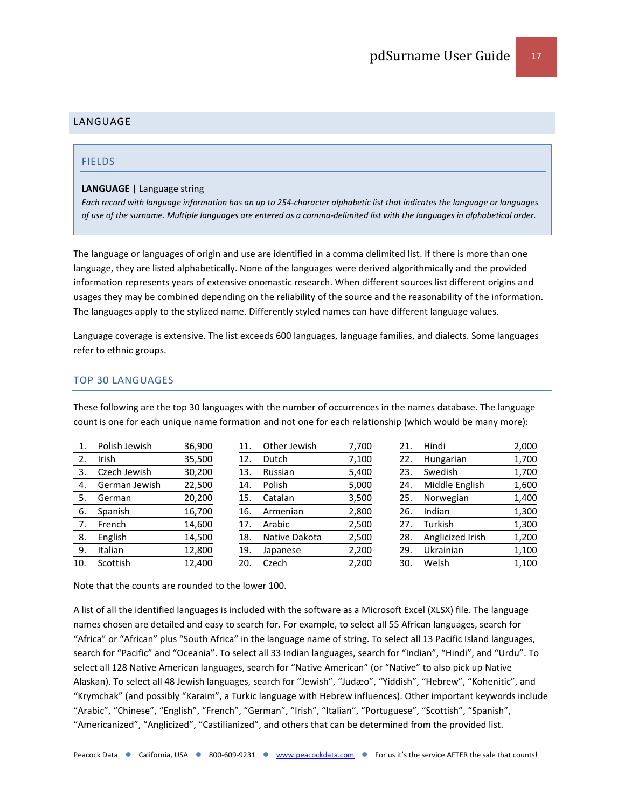# <span id="page-16-0"></span>LANGUAGE

#### FIELDS

#### **LANGUAGE** | Language string

*Each record with language information has an up to 254-character alphabetic list that indicates the language or languages of use of the surname. Multiple languages are entered as a comma-delimited list with the languages in alphabetical order.*

The language or languages of origin and use are identified in a comma delimited list. If there is more than one language, they are listed alphabetically. None of the languages were derived algorithmically and the provided information represents years of extensive onomastic research. When different sources list different origins and usages they may be combined depending on the reliability of the source and the reasonability of the information. The languages apply to the stylized name. Differently styled names can have different language values.

Language coverage is extensive. The list exceeds 600 languages, language families, and dialects. Some languages refer to ethnic groups.

#### TOP 30 LANGUAGES

These following are the top 30 languages with the number of occurrences in the names database. The language count is one for each unique name formation and not one for each relationship (which would be many more):

|     | Polish Jewish | 36,900 | 11. | Other Jewish  | 7,700 | 21. | Hindi            | 2,000 |
|-----|---------------|--------|-----|---------------|-------|-----|------------------|-------|
|     | Irish         | 35,500 | 12. | Dutch         | 7,100 | 22. | Hungarian        | 1,700 |
| 3.  | Czech Jewish  | 30,200 | 13. | Russian       | 5,400 | 23. | Swedish          | 1,700 |
| 4.  | German Jewish | 22,500 | 14. | Polish        | 5,000 | 24. | Middle English   | 1,600 |
| 5.  | German        | 20,200 | 15. | Catalan       | 3,500 | 25. | Norwegian        | 1,400 |
| 6.  | Spanish       | 16,700 | 16. | Armenian      | 2,800 | 26. | Indian           | 1,300 |
|     | French        | 14,600 | 17. | Arabic        | 2,500 | 27. | Turkish          | 1,300 |
| 8.  | English       | 14,500 | 18. | Native Dakota | 2,500 | 28. | Anglicized Irish | 1,200 |
| 9.  | Italian       | 12,800 | 19. | Japanese      | 2,200 | 29. | <b>Ukrainian</b> | 1,100 |
| 10. | Scottish      | 12.400 | 20. | Czech         | 2.200 | 30. | Welsh            | 1,100 |

Note that the counts are rounded to the lower 100.

A list of all the identified languages is included with the software as a Microsoft Excel (XLSX) file. The language names chosen are detailed and easy to search for. For example, to select all 55 African languages, search for "Africa" or "African" plus "South Africa" in the language name of string. To select all 13 Pacific Island languages, search for "Pacific" and "Oceania". To select all 33 Indian languages, search for "Indian", "Hindi", and "Urdu". To select all 128 Native American languages, search for "Native American" (or "Native" to also pick up Native Alaskan). To select all 48 Jewish languages, search for "Jewish", "Judæo", "Yiddish", "Hebrew", "Kohenitic", and "Krymchak" (and possibly "Karaim", a Turkic language with Hebrew influences). Other important keywords include "Arabic", "Chinese", "English", "French", "German", "Irish", "Italian", "Portuguese", "Scottish", "Spanish", "Americanized", "Anglicized", "Castilianized", and others that can be determined from the provided list.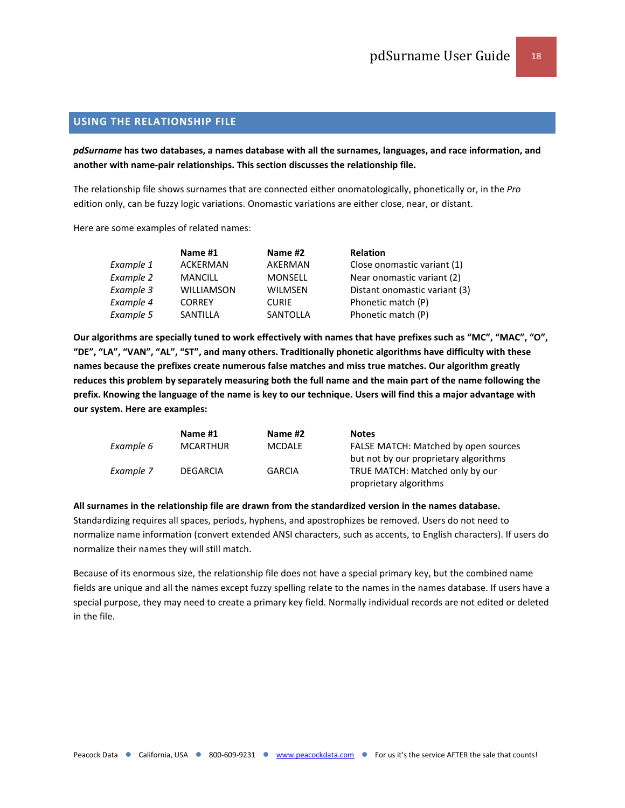#### <span id="page-17-0"></span>**USING THE RELATIONSHIP FILE**

# *pdSurname* **has two databases, a names database with all the surnames, languages, and race information, and another with name-pair relationships. This section discusses the relationship file.**

The relationship file shows surnames that are connected either onomatologically, phonetically or, in the *Pro* edition only, can be fuzzy logic variations. Onomastic variations are either close, near, or distant.

Here are some examples of related names:

|           | Name #1           | Name #2        | <b>Relation</b>               |
|-----------|-------------------|----------------|-------------------------------|
| Example 1 | <b>ACKERMAN</b>   | AKERMAN        | Close onomastic variant (1)   |
| Example 2 | <b>MANCILL</b>    | MONSELL        | Near onomastic variant (2)    |
| Example 3 | <b>WILLIAMSON</b> | <b>WILMSEN</b> | Distant onomastic variant (3) |
| Example 4 | <b>CORREY</b>     | <b>CURIE</b>   | Phonetic match (P)            |
| Example 5 | SANTILLA          | SANTOLLA       | Phonetic match (P)            |

**Our algorithms are specially tuned to work effectively with names that have prefixes such as "MC", "MAC", "O", "DE", "LA", "VAN", "AL", "ST", and many others. Traditionally phonetic algorithms have difficulty with these names because the prefixes create numerous false matches and miss true matches. Our algorithm greatly reduces this problem by separately measuring both the full name and the main part of the name following the prefix. Knowing the language of the name is key to our technique. Users will find this a major advantage with our system. Here are examples:**

|           | Name #1         | Name #2       | <b>Notes</b>                          |
|-----------|-----------------|---------------|---------------------------------------|
| Example 6 | <b>MCARTHUR</b> | <b>MCDALE</b> | FALSE MATCH: Matched by open sources  |
|           |                 |               | but not by our proprietary algorithms |
| Example 7 | DEGARCIA        | <b>GARCIA</b> | TRUE MATCH: Matched only by our       |
|           |                 |               | proprietary algorithms                |

# **All surnames in the relationship file are drawn from the standardized version in the names database.** Standardizing requires all spaces, periods, hyphens, and apostrophizes be removed. Users do not need to

normalize name information (convert extended ANSI characters, such as accents, to English characters). If users do normalize their names they will still match.

Because of its enormous size, the relationship file does not have a special primary key, but the combined name fields are unique and all the names except fuzzy spelling relate to the names in the names database. If users have a special purpose, they may need to create a primary key field. Normally individual records are not edited or deleted in the file.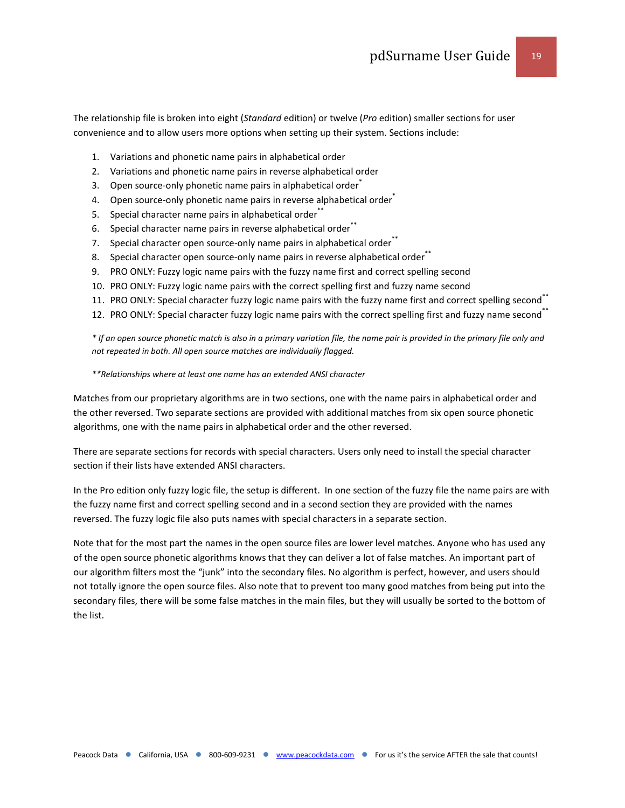The relationship file is broken into eight (*Standard* edition) or twelve (*Pro* edition) smaller sections for user convenience and to allow users more options when setting up their system. Sections include:

- 1. Variations and phonetic name pairs in alphabetical order
- 2. Variations and phonetic name pairs in reverse alphabetical order
- 3. Open source-only phonetic name pairs in alphabetical order<sup>\*</sup>
- 4. Open source-only phonetic name pairs in reverse alphabetical order
- 5. Special character name pairs in alphabetical order<sup>\*\*</sup>
- 6. Special character name pairs in reverse alphabetical order<sup>\*\*</sup>
- 7. Special character open source-only name pairs in alphabetical order<sup>\*\*</sup>
- 8. Special character open source-only name pairs in reverse alphabetical order<sup>\*\*</sup>
- 9. PRO ONLY: Fuzzy logic name pairs with the fuzzy name first and correct spelling second
- 10. PRO ONLY: Fuzzy logic name pairs with the correct spelling first and fuzzy name second
- 11. PRO ONLY: Special character fuzzy logic name pairs with the fuzzy name first and correct spelling second\*\*
- 12. PRO ONLY: Special character fuzzy logic name pairs with the correct spelling first and fuzzy name second\*\*

*\* If an open source phonetic match is also in a primary variation file, the name pair is provided in the primary file only and not repeated in both. All open source matches are individually flagged.*

*\*\*Relationships where at least one name has an extended ANSI character*

Matches from our proprietary algorithms are in two sections, one with the name pairs in alphabetical order and the other reversed. Two separate sections are provided with additional matches from six open source phonetic algorithms, one with the name pairs in alphabetical order and the other reversed.

There are separate sections for records with special characters. Users only need to install the special character section if their lists have extended ANSI characters.

In the Pro edition only fuzzy logic file, the setup is different. In one section of the fuzzy file the name pairs are with the fuzzy name first and correct spelling second and in a second section they are provided with the names reversed. The fuzzy logic file also puts names with special characters in a separate section.

Note that for the most part the names in the open source files are lower level matches. Anyone who has used any of the open source phonetic algorithms knows that they can deliver a lot of false matches. An important part of our algorithm filters most the "junk" into the secondary files. No algorithm is perfect, however, and users should not totally ignore the open source files. Also note that to prevent too many good matches from being put into the secondary files, there will be some false matches in the main files, but they will usually be sorted to the bottom of the list.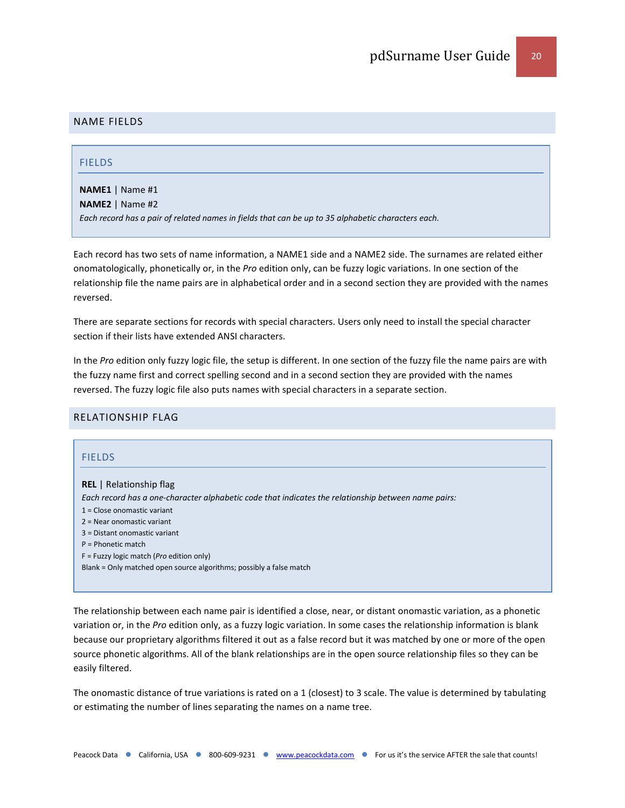#### <span id="page-19-0"></span>NAME FIELDS

#### FIELDS

# **NAME1** | Name #1 **NAME2** | Name #2

*Each record has a pair of related names in fields that can be up to 35 alphabetic characters each.*

Each record has two sets of name information, a NAME1 side and a NAME2 side. The surnames are related either onomatologically, phonetically or, in the *Pro* edition only, can be fuzzy logic variations. In one section of the relationship file the name pairs are in alphabetical order and in a second section they are provided with the names reversed.

There are separate sections for records with special characters. Users only need to install the special character section if their lists have extended ANSI characters.

In the *Pro* edition only fuzzy logic file, the setup is different. In one section of the fuzzy file the name pairs are with the fuzzy name first and correct spelling second and in a second section they are provided with the names reversed. The fuzzy logic file also puts names with special characters in a separate section.

#### <span id="page-19-1"></span>RELATIONSHIP FLAG

| <b>FIELDS</b>                                                                                       |
|-----------------------------------------------------------------------------------------------------|
| <b>REL</b>   Relationship flag                                                                      |
| Each record has a one-character alphabetic code that indicates the relationship between name pairs: |
| $1 =$ Close onomastic variant                                                                       |
| $2$ = Near onomastic variant                                                                        |
| $3$ = Distant onomastic variant                                                                     |
| $P = Phonetic match$                                                                                |
| $F = Fuzzy logic match (Pro edition only)$                                                          |
| Blank = Only matched open source algorithms; possibly a false match                                 |
|                                                                                                     |
|                                                                                                     |

The relationship between each name pair is identified a close, near, or distant onomastic variation, as a phonetic variation or, in the *Pro* edition only, as a fuzzy logic variation. In some cases the relationship information is blank because our proprietary algorithms filtered it out as a false record but it was matched by one or more of the open source phonetic algorithms. All of the blank relationships are in the open source relationship files so they can be easily filtered.

The onomastic distance of true variations is rated on a 1 (closest) to 3 scale. The value is determined by tabulating or estimating the number of lines separating the names on a name tree.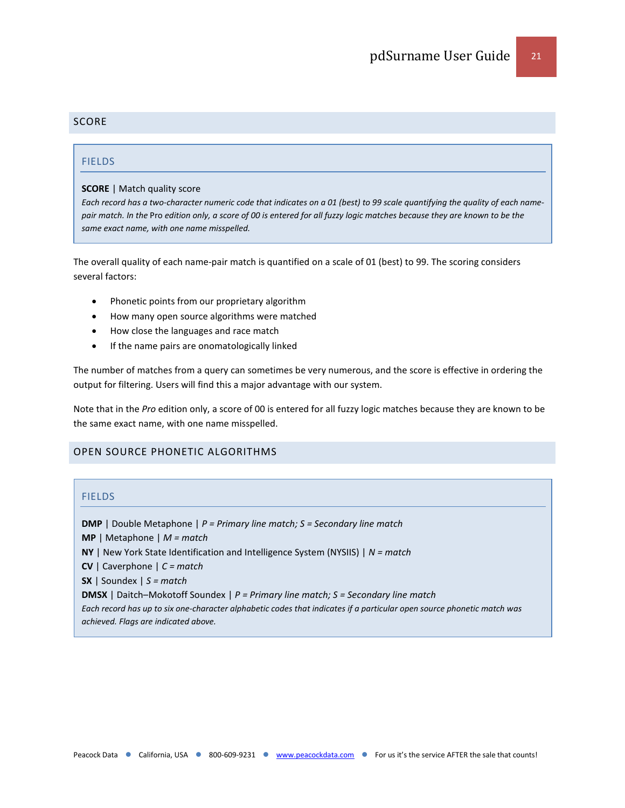# <span id="page-20-0"></span>SCORE

#### FIELDS

#### **SCORE** | Match quality score

*Each record has a two-character numeric code that indicates on a 01 (best) to 99 scale quantifying the quality of each namepair match. In the* Pro *edition only, a score of 00 is entered for all fuzzy logic matches because they are known to be the same exact name, with one name misspelled.*

The overall quality of each name-pair match is quantified on a scale of 01 (best) to 99. The scoring considers several factors:

- Phonetic points from our proprietary algorithm
- How many open source algorithms were matched
- How close the languages and race match
- If the name pairs are onomatologically linked

The number of matches from a query can sometimes be very numerous, and the score is effective in ordering the output for filtering. Users will find this a major advantage with our system.

Note that in the *Pro* edition only, a score of 00 is entered for all fuzzy logic matches because they are known to be the same exact name, with one name misspelled.

# <span id="page-20-1"></span>OPEN SOURCE PHONETIC ALGORITHMS

#### FIELDS

**DMP** | Double Metaphone | *P = Primary line match; S = Secondary line match*

**MP** | Metaphone | *M = match*

- **NY** | New York State Identification and Intelligence System (NYSIIS) | *N = match*
- **CV** | Caverphone | *C = match*
- **SX** | Soundex | *S = match*

**DMSX** | Daitch–Mokotoff Soundex | *P = Primary line match; S = Secondary line match*

*Each record has up to six one-character alphabetic codes that indicates if a particular open source phonetic match was achieved. Flags are indicated above.*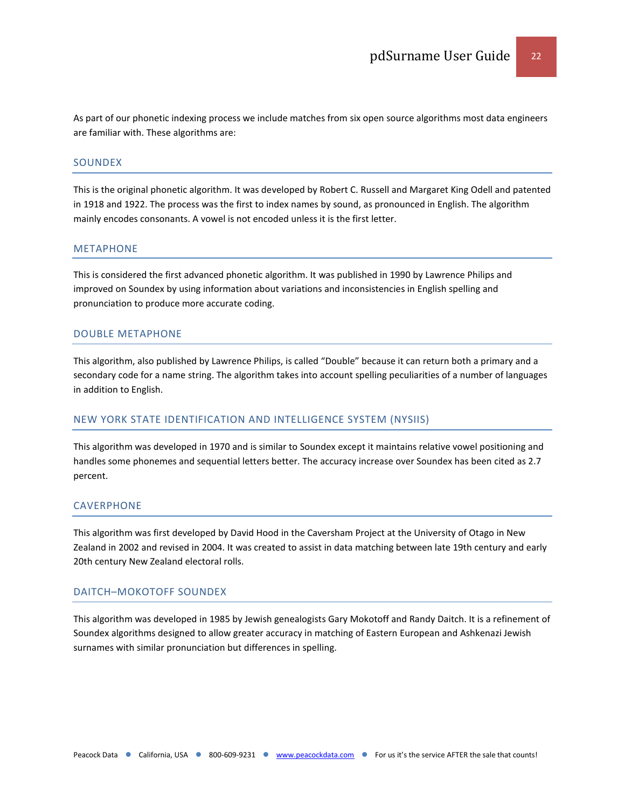As part of our phonetic indexing process we include matches from six open source algorithms most data engineers are familiar with. These algorithms are:

# SOUNDEX

This is the original phonetic algorithm. It was developed by Robert C. Russell and Margaret King Odell and patented in 1918 and 1922. The process was the first to index names by sound, as pronounced in English. The algorithm mainly encodes consonants. A vowel is not encoded unless it is the first letter.

#### METAPHONE

This is considered the first advanced phonetic algorithm. It was published in 1990 by Lawrence Philips and improved on Soundex by using information about variations and inconsistencies in English spelling and pronunciation to produce more accurate coding.

#### DOUBLE METAPHONE

This algorithm, also published by Lawrence Philips, is called "Double" because it can return both a primary and a secondary code for a name string. The algorithm takes into account spelling peculiarities of a number of languages in addition to English.

#### NEW YORK STATE IDENTIFICATION AND INTELLIGENCE SYSTEM (NYSIIS)

This algorithm was developed in 1970 and is similar to Soundex except it maintains relative vowel positioning and handles some phonemes and sequential letters better. The accuracy increase over Soundex has been cited as 2.7 percent.

#### CAVERPHONE

This algorithm was first developed by David Hood in the Caversham Project at the University of Otago in New Zealand in 2002 and revised in 2004. It was created to assist in data matching between late 19th century and early 20th century New Zealand electoral rolls.

#### DAITCH–MOKOTOFF SOUNDEX

This algorithm was developed in 1985 by Jewish genealogists Gary Mokotoff and Randy Daitch. It is a refinement of Soundex algorithms designed to allow greater accuracy in matching of Eastern European and Ashkenazi Jewish surnames with similar pronunciation but differences in spelling.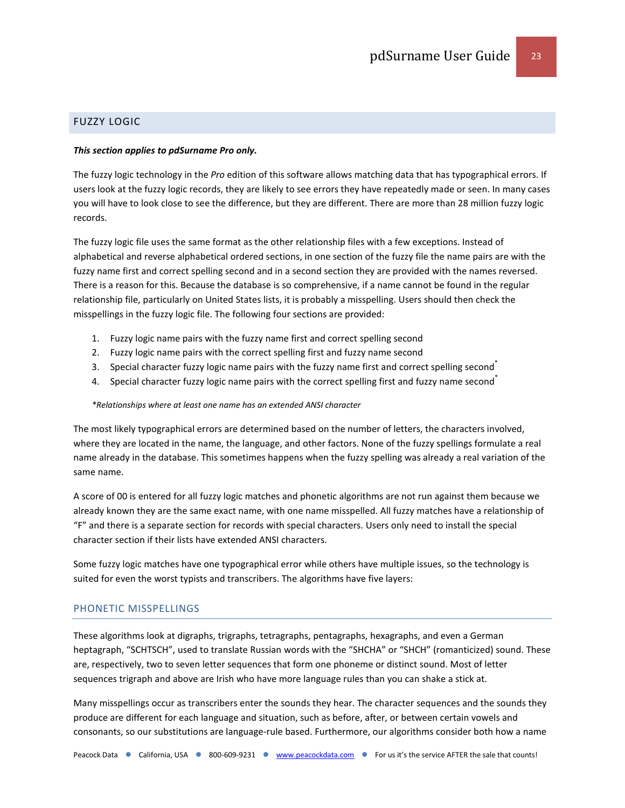#### <span id="page-22-0"></span>FUZZY LOGIC

#### *This section applies to pdSurname Pro only.*

The fuzzy logic technology in the *Pro* edition of this software allows matching data that has typographical errors. If users look at the fuzzy logic records, they are likely to see errors they have repeatedly made or seen. In many cases you will have to look close to see the difference, but they are different. There are more than 28 million fuzzy logic records.

The fuzzy logic file uses the same format as the other relationship files with a few exceptions. Instead of alphabetical and reverse alphabetical ordered sections, in one section of the fuzzy file the name pairs are with the fuzzy name first and correct spelling second and in a second section they are provided with the names reversed. There is a reason for this. Because the database is so comprehensive, if a name cannot be found in the regular relationship file, particularly on United States lists, it is probably a misspelling. Users should then check the misspellings in the fuzzy logic file. The following four sections are provided:

- 1. Fuzzy logic name pairs with the fuzzy name first and correct spelling second
- 2. Fuzzy logic name pairs with the correct spelling first and fuzzy name second
- 3. Special character fuzzy logic name pairs with the fuzzy name first and correct spelling second<sup>\*</sup>
- 4. Special character fuzzy logic name pairs with the correct spelling first and fuzzy name second<sup>\*</sup>

#### *\*Relationships where at least one name has an extended ANSI character*

The most likely typographical errors are determined based on the number of letters, the characters involved, where they are located in the name, the language, and other factors. None of the fuzzy spellings formulate a real name already in the database. This sometimes happens when the fuzzy spelling was already a real variation of the same name.

A score of 00 is entered for all fuzzy logic matches and phonetic algorithms are not run against them because we already known they are the same exact name, with one name misspelled. All fuzzy matches have a relationship of "F" and there is a separate section for records with special characters. Users only need to install the special character section if their lists have extended ANSI characters.

Some fuzzy logic matches have one typographical error while others have multiple issues, so the technology is suited for even the worst typists and transcribers. The algorithms have five layers:

#### PHONETIC MISSPELLINGS

These algorithms look at digraphs, trigraphs, tetragraphs, pentagraphs, hexagraphs, and even a German heptagraph, "SCHTSCH", used to translate Russian words with the "SHCHA" or "SHCH" (romanticized) sound. These are, respectively, two to seven letter sequences that form one phoneme or distinct sound. Most of letter sequences trigraph and above are Irish who have more language rules than you can shake a stick at.

Many misspellings occur as transcribers enter the sounds they hear. The character sequences and the sounds they produce are different for each language and situation, such as before, after, or between certain vowels and consonants, so our substitutions are language-rule based. Furthermore, our algorithms consider both how a name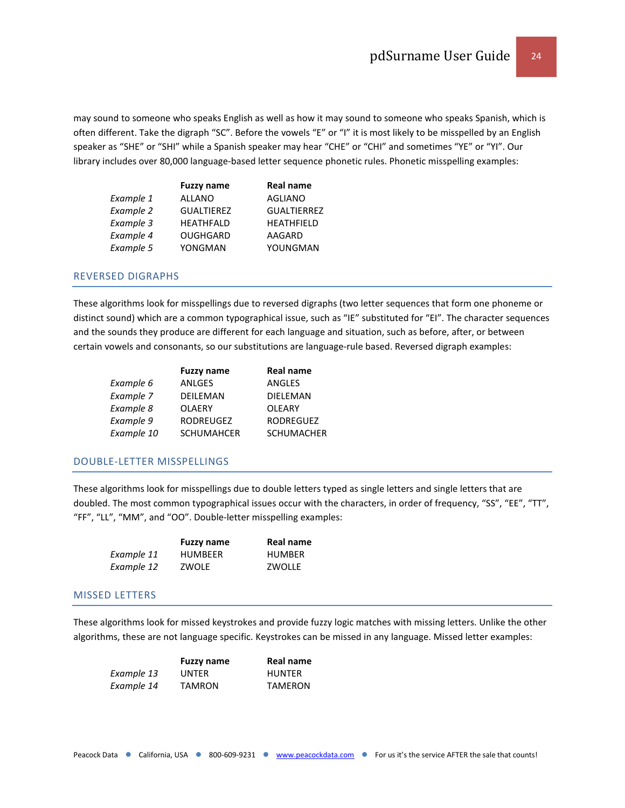may sound to someone who speaks English as well as how it may sound to someone who speaks Spanish, which is often different. Take the digraph "SC". Before the vowels "E" or "I" it is most likely to be misspelled by an English speaker as "SHE" or "SHI" while a Spanish speaker may hear "CHE" or "CHI" and sometimes "YE" or "YI". Our library includes over 80,000 language-based letter sequence phonetic rules. Phonetic misspelling examples:

|           | <b>Fuzzy name</b> | <b>Real name</b>   |
|-----------|-------------------|--------------------|
| Example 1 | <b>ALLANO</b>     | <b>AGLIANO</b>     |
| Example 2 | <b>GUALTIEREZ</b> | <b>GUALTIERREZ</b> |
| Example 3 | <b>HEATHFALD</b>  | <b>HEATHFIELD</b>  |
| Example 4 | <b>OUGHGARD</b>   | AAGARD             |
| Example 5 | YONGMAN           | YOUNGMAN           |
|           |                   |                    |

#### REVERSED DIGRAPHS

These algorithms look for misspellings due to reversed digraphs (two letter sequences that form one phoneme or distinct sound) which are a common typographical issue, such as "IE" substituted for "EI". The character sequences and the sounds they produce are different for each language and situation, such as before, after, or between certain vowels and consonants, so our substitutions are language-rule based. Reversed digraph examples:

|            | <b>Fuzzy name</b> | <b>Real name</b>  |
|------------|-------------------|-------------------|
| Example 6  | <b>ANLGES</b>     | <b>ANGLES</b>     |
| Example 7  | <b>DEILEMAN</b>   | <b>DIELEMAN</b>   |
| Example 8  | <b>OLAERY</b>     | <b>OLEARY</b>     |
| Example 9  | <b>RODREUGEZ</b>  | <b>RODREGUEZ</b>  |
| Example 10 | <b>SCHUMAHCER</b> | <b>SCHUMACHER</b> |

# DOUBLE-LETTER MISSPELLINGS

These algorithms look for misspellings due to double letters typed as single letters and single letters that are doubled. The most common typographical issues occur with the characters, in order of frequency, "SS", "EE", "TT", "FF", "LL", "MM", and "OO". Double-letter misspelling examples:

|            | <b>Fuzzy name</b> | <b>Real name</b> |
|------------|-------------------|------------------|
| Example 11 | <b>HUMBEER</b>    | <b>HUMBER</b>    |
| Example 12 | ZWOLE             | ZWOLLE           |

#### MISSED LETTERS

These algorithms look for missed keystrokes and provide fuzzy logic matches with missing letters. Unlike the other algorithms, these are not language specific. Keystrokes can be missed in any language. Missed letter examples:

|            | <b>Fuzzy name</b> | <b>Real name</b> |
|------------|-------------------|------------------|
| Example 13 | <b>UNTER</b>      | <b>HUNTER</b>    |
| Example 14 | <b>TAMRON</b>     | <b>TAMERON</b>   |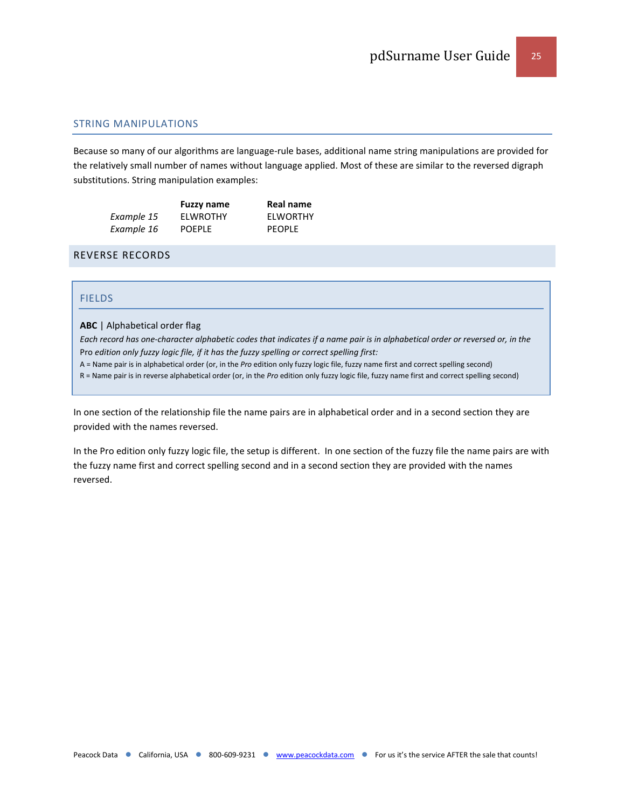#### STRING MANIPULATIONS

Because so many of our algorithms are language-rule bases, additional name string manipulations are provided for the relatively small number of names without language applied. Most of these are similar to the reversed digraph substitutions. String manipulation examples:

|            | <b>Fuzzy name</b> | Real name     |
|------------|-------------------|---------------|
| Example 15 | <b>ELWROTHY</b>   | ELWORTHY      |
| Example 16 | <b>POEPLE</b>     | <b>PEOPLE</b> |

#### <span id="page-24-0"></span>REVERSE RECORDS

#### FIELDS

#### **ABC** | Alphabetical order flag

*Each record has one-character alphabetic codes that indicates if a name pair is in alphabetical order or reversed or, in the*  Pro *edition only fuzzy logic file, if it has the fuzzy spelling or correct spelling first:*

A = Name pair is in alphabetical order (or, in the *Pro* edition only fuzzy logic file, fuzzy name first and correct spelling second)

R = Name pair is in reverse alphabetical order (or, in the *Pro* edition only fuzzy logic file, fuzzy name first and correct spelling second)

In one section of the relationship file the name pairs are in alphabetical order and in a second section they are provided with the names reversed.

In the Pro edition only fuzzy logic file, the setup is different. In one section of the fuzzy file the name pairs are with the fuzzy name first and correct spelling second and in a second section they are provided with the names reversed.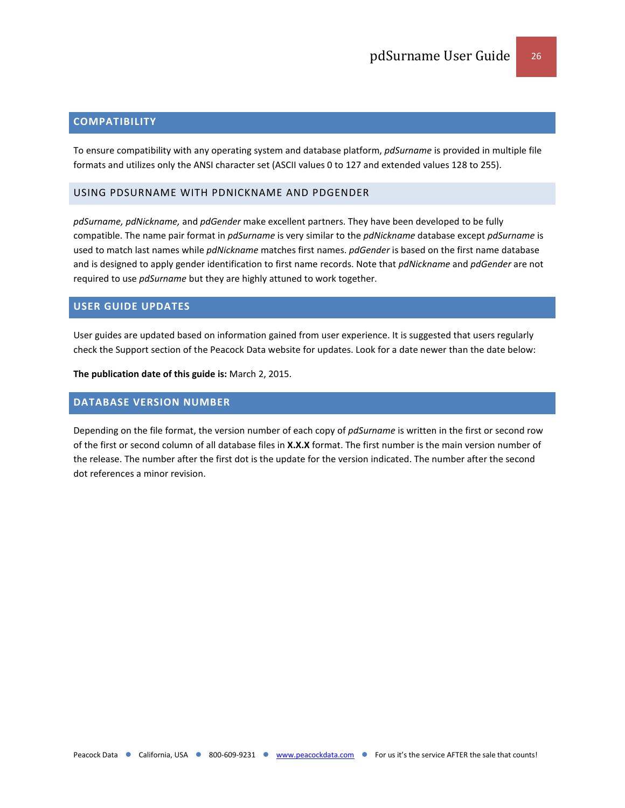#### <span id="page-25-0"></span>**COMPATIBILITY**

To ensure compatibility with any operating system and database platform, *pdSurname* is provided in multiple file formats and utilizes only the ANSI character set (ASCII values 0 to 127 and extended values 128 to 255).

# <span id="page-25-1"></span>USING PDSURNAME WITH PDNICKNAME AND PDGENDER

*pdSurname, pdNickname,* and *pdGender* make excellent partners. They have been developed to be fully compatible. The name pair format in *pdSurname* is very similar to the *pdNickname* database except *pdSurname* is used to match last names while *pdNickname* matches first names. *pdGender* is based on the first name database and is designed to apply gender identification to first name records. Note that *pdNickname* and *pdGender* are not required to use *pdSurname* but they are highly attuned to work together.

#### <span id="page-25-2"></span>**USER GUIDE UPDATES**

User guides are updated based on information gained from user experience. It is suggested that users regularly check the Support section of the Peacock Data website for updates. Look for a date newer than the date below:

**The publication date of this guide is:** March 2, 2015.

#### <span id="page-25-3"></span>**DATABASE VERSION NUMBER**

Depending on the file format, the version number of each copy of *pdSurname* is written in the first or second row of the first or second column of all database files in **X.X.X** format. The first number is the main version number of the release. The number after the first dot is the update for the version indicated. The number after the second dot references a minor revision.